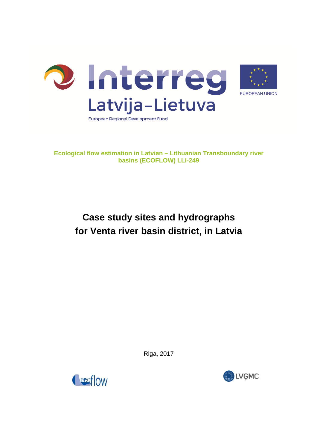

**Ecological flow estimation in Latvian – Lithuanian Transboundary river basins (ECOFLOW) LLI-249** 

# **Case study sites and hydrographs for Venta river basin district, in Latvia**

Riga, 2017



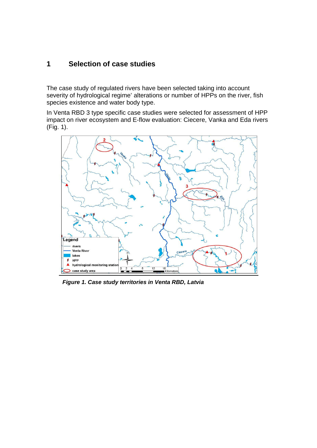## **1 Selection of case studies**

The case study of regulated rivers have been selected taking into account severity of hydrological regime' alterations or number of HPPs on the river, fish species existence and water body type.

In Venta RBD 3 type specific case studies were selected for assessment of HPP impact on river ecosystem and E-flow evaluation: Ciecere, Vanka and Eda rivers (Fig. 1).



 **Figure 1. Case study territories in Venta RBD, Latvia**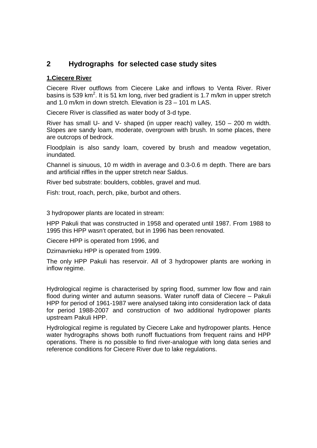# **2 Hydrographs for selected case study sites**

#### **1.Ciecere River**

Ciecere River outflows from Ciecere Lake and inflows to Venta River. River basins is 539 km<sup>2</sup>. It is 51 km long, river bed gradient is 1.7 m/km in upper stretch and 1.0 m/km in down stretch. Elevation is 23 – 101 m LAS.

Ciecere River is classified as water body of 3-d type.

River has small U- and V- shaped (in upper reach) valley, 150 – 200 m width. Slopes are sandy loam, moderate, overgrown with brush. In some places, there are outcrops of bedrock.

Floodplain is also sandy loam, covered by brush and meadow vegetation, inundated.

Channel is sinuous, 10 m width in average and 0.3-0.6 m depth. There are bars and artificial riffles in the upper stretch near Saldus.

River bed substrate: boulders, cobbles, gravel and mud.

Fish: trout, roach, perch, pike, burbot and others.

3 hydropower plants are located in stream:

HPP Pakuli that was constructed in 1958 and operated until 1987. From 1988 to 1995 this HPP wasn't operated, but in 1996 has been renovated.

Ciecere HPP is operated from 1996, and

Dzirnavnieku HPP is operated from 1999.

The only HPP Pakuli has reservoir. All of 3 hydropower plants are working in inflow regime.

Hydrological regime is characterised by spring flood, summer low flow and rain flood during winter and autumn seasons. Water runoff data of Ciecere – Pakuli HPP for period of 1961-1987 were analysed taking into consideration lack of data for period 1988-2007 and construction of two additional hydropower plants upstream Pakuli HPP.

Hydrological regime is regulated by Ciecere Lake and hydropower plants. Hence water hydrographs shows both runoff fluctuations from frequent rains and HPP operations. There is no possible to find river-analogue with long data series and reference conditions for Ciecere River due to lake regulations.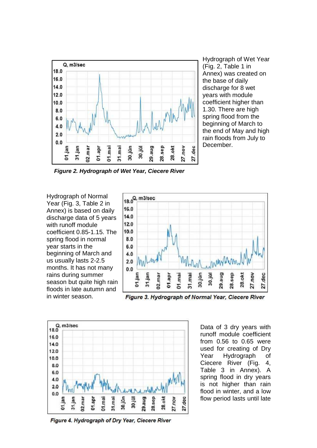

Hydrograph of Wet Year (Fig. 2, Table 1 in Annex) was created on the base of daily discharge for 8 wet years with module coefficient higher than 1.30. There are high spring flood from the beginning of March to the end of May and high rain floods from July to December.

**Figure 2. Hydrograph of Wet Year, Ciecere River**

Hydrograph of Normal Year (Fig. 3, Table 2 in Annex) is based on daily discharge data of 5 years with runoff module coefficient 0.85-1.15. The spring flood in normal year starts in the beginning of March and us usually lasts 2-2.5 months. It has not many rains during summer season but quite high rain floods in late autumn and in winter season.

![](_page_3_Figure_4.jpeg)

Figure 3. Hydrograph of Normal Year, Ciecere River

![](_page_3_Figure_6.jpeg)

Data of 3 dry years with runoff module coefficient from 0.56 to 0.65 were used for creating of Dry Year Hydrograph of Ciecere River (Fig. 4, Table 3 in Annex). A spring flood in dry years is not higher than rain flood in winter, and a low flow period lasts until late

Figure 4. Hydrograph of Dry Year, Ciecere River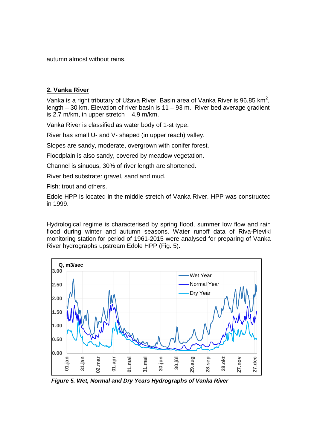autumn almost without rains.

#### **2. Vanka River**

Vanka is a right tributary of Užava River. Basin area of Vanka River is 96.85 km<sup>2</sup>, length – 30 km. Elevation of river basin is 11 – 93 m. River bed average gradient is 2.7 m/km, in upper stretch  $-4.9$  m/km.

Vanka River is classified as water body of 1-st type.

River has small U- and V- shaped (in upper reach) valley.

Slopes are sandy, moderate, overgrown with conifer forest.

Floodplain is also sandy, covered by meadow vegetation.

Channel is sinuous, 30% of river length are shortened.

River bed substrate: gravel, sand and mud.

Fish: trout and others.

Edole HPP is located in the middle stretch of Vanka River. HPP was constructed in 1999.

Hydrological regime is characterised by spring flood, summer low flow and rain flood during winter and autumn seasons. Water runoff data of Riva-Pieviki monitoring station for period of 1961-2015 were analysed for preparing of Vanka River hydrographs upstream Edole HPP (Fig. 5).

![](_page_4_Figure_12.jpeg)

**Figure 5. Wet, Normal and Dry Years Hydrographs of Vanka River**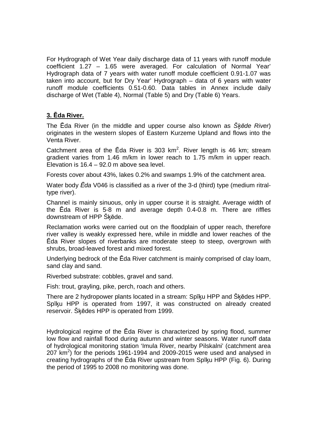For Hydrograph of Wet Year daily discharge data of 11 years with runoff module coefficient 1.27 – 1.65 were averaged. For calculation of Normal Year' Hydrograph data of 7 years with water runoff module coefficient 0.91-1.07 was taken into account, but for Dry Year' Hydrograph – data of 6 years with water runoff module coefficients 0.51-0.60. Data tables in Annex include daily discharge of Wet (Table 4), Normal (Table 5) and Dry (Table 6) Years.

## **3. Ēda River.**

The Ēda River (in the middle and upper course also known as Š*ķē*de River) originates in the western slopes of Eastern Kurzeme Upland and flows into the Venta River.

Catchment area of the Eda River is 303 km<sup>2</sup>. River length is 46 km; stream gradient varies from 1.46 m/km in lower reach to 1.75 m/km in upper reach. Elevation is 16.4 – 92.0 m above sea level.

Forests cover about 43%, lakes 0.2% and swamps 1.9% of the catchment area.

Water body *Ē*da V046 is classified as a river of the 3-d (third) type (medium ritraltype river).

Channel is mainly sinuous, only in upper course it is straight. Average width of the Ēda River is 5-8 m and average depth 0.4-0.8 m. There are riffles downstream of HPP Šķēde.

Reclamation works were carried out on the floodplain of upper reach, therefore river valley is weakly expressed here, while in middle and lower reaches of the Ēda River slopes of riverbanks are moderate steep to steep, overgrown with shrubs, broad-leaved forest and mixed forest.

Underlying bedrock of the Ēda River catchment is mainly comprised of clay loam, sand clay and sand.

Riverbed substrate: cobbles, gravel and sand.

Fish: trout, grayling, pike, perch, roach and others.

There are 2 hydropower plants located in a stream: Spīķu HPP and Šķēdes HPP. Spīķu HPP is operated from 1997, it was constructed on already created reservoir. Šķēdes HPP is operated from 1999.

Hydrological regime of the Ēda River is characterized by spring flood, summer low flow and rainfall flood during autumn and winter seasons. Water runoff data of hydrological monitoring station 'Imula River, nearby Pilskalni' (catchment area  $207 \text{ km}^2$ ) for the periods 1961-1994 and 2009-2015 were used and analysed in creating hydrographs of the Ēda River upstream from Spīķu HPP (Fig. 6). During the period of 1995 to 2008 no monitoring was done.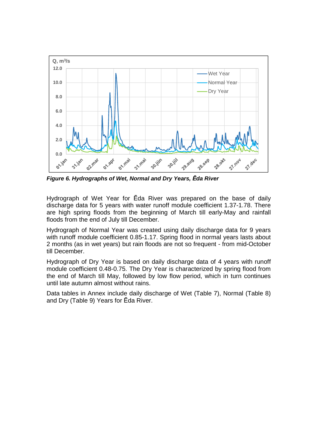![](_page_6_Figure_0.jpeg)

**Figure 6. Hydrographs of Wet, Normal and Dry Years,** *Ē***da River** 

Hydrograph of Wet Year for Ēda River was prepared on the base of daily discharge data for 5 years with water runoff module coefficient 1.37-1.78. There are high spring floods from the beginning of March till early-May and rainfall floods from the end of July till December.

Hydrograph of Normal Year was created using daily discharge data for 9 years with runoff module coefficient 0.85-1.17. Spring flood in normal years lasts about 2 months (as in wet years) but rain floods are not so frequent - from mid-October till December.

Hydrograph of Dry Year is based on daily discharge data of 4 years with runoff module coefficient 0.48-0.75. The Dry Year is characterized by spring flood from the end of March till May, followed by low flow period, which in turn continues until late autumn almost without rains.

Data tables in Annex include daily discharge of Wet (Table 7), Normal (Table 8) and Dry (Table 9) Years for Ēda River.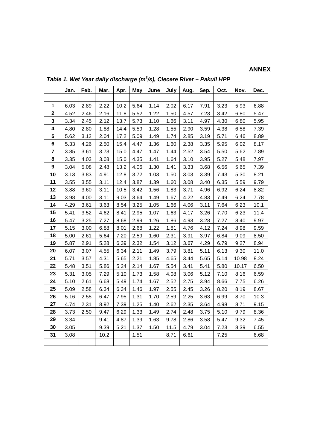# **ANNEX**

|                  | Jan. | Feb. | Mar. | Apr. | May  | June | July | Aug. | Sep. | Oct. | Nov.  | Dec. |
|------------------|------|------|------|------|------|------|------|------|------|------|-------|------|
|                  |      |      |      |      |      |      |      |      |      |      |       |      |
| 1                | 6.03 | 2.89 | 2.22 | 10.2 | 5.64 | 1.14 | 2.02 | 6.17 | 7.91 | 3.23 | 5.93  | 6.88 |
| $\mathbf{2}$     | 4.52 | 2.46 | 2.16 | 11.8 | 5.52 | 1.22 | 1.50 | 4.57 | 7.23 | 3.42 | 6.80  | 5.47 |
| 3                | 3.34 | 2.45 | 2.12 | 13.7 | 5.73 | 1.10 | 1.66 | 3.11 | 4.97 | 4.30 | 6.80  | 5.95 |
| 4                | 4.80 | 2.80 | 1.88 | 14.4 | 5.59 | 1.28 | 1.55 | 2.90 | 3.59 | 4.38 | 6.58  | 7.39 |
| 5                | 5.62 | 3.12 | 2.04 | 17.2 | 5.09 | 1.49 | 1.74 | 2.85 | 3.19 | 5.71 | 6.46  | 8.89 |
| $\bf 6$          | 5.33 | 4.26 | 2.50 | 15.4 | 4.47 | 1.36 | 1.60 | 2.38 | 3.35 | 5.95 | 6.02  | 8.17 |
| $\overline{7}$   | 3.85 | 3.61 | 3.73 | 15.0 | 4.47 | 1.47 | 1.44 | 2.52 | 3.54 | 5.50 | 5.62  | 7.89 |
| 8                | 3.35 | 4.03 | 3.03 | 15.0 | 4.35 | 1.41 | 1.64 | 3.10 | 3.95 | 5.27 | 5.48  | 7.97 |
| $\boldsymbol{9}$ | 3.04 | 5.08 | 2.48 | 13.2 | 4.06 | 1.30 | 1.41 | 3.33 | 3.68 | 6.56 | 5.65  | 7.39 |
| 10               | 3.13 | 3.83 | 4.91 | 12.8 | 3.72 | 1.03 | 1.50 | 3.03 | 3.39 | 7.43 | 5.30  | 8.21 |
| 11               | 3.55 | 3.55 | 3.11 | 12.4 | 3.87 | 1.39 | 1.60 | 3.08 | 3.40 | 6.35 | 5.59  | 9.79 |
| 12               | 3.88 | 3.60 | 3.11 | 10.5 | 3.42 | 1.56 | 1.83 | 3.71 | 4.96 | 6.92 | 6.24  | 8.82 |
| 13               | 3.98 | 4.00 | 3.11 | 9.03 | 3.64 | 1.49 | 1.67 | 4.22 | 4.83 | 7.49 | 6.24  | 7.78 |
| 14               | 4.29 | 3.61 | 3.63 | 8.54 | 3.25 | 1.05 | 1.66 | 4.06 | 3.11 | 7.64 | 6.23  | 10.1 |
| 15               | 5.41 | 3.52 | 4.62 | 8.41 | 2.95 | 1.07 | 1.63 | 4.17 | 3.26 | 7.70 | 6.23  | 11.4 |
| 16               | 5.47 | 3.25 | 7.27 | 8.68 | 2.99 | 1.26 | 1.86 | 4.93 | 3.28 | 7.27 | 8.40  | 9.97 |
| 17               | 5.15 | 3.00 | 6.88 | 8.01 | 2.68 | 1.22 | 1.81 | 4.76 | 4.12 | 7.24 | 8.98  | 9.59 |
| 18               | 5.00 | 2.61 | 5.64 | 7.20 | 2.59 | 1.60 | 2.31 | 3.91 | 3.97 | 6.84 | 9.09  | 8.50 |
| 19               | 5.87 | 2.91 | 5.28 | 6.39 | 2.32 | 1.54 | 3.12 | 3.67 | 4.29 | 6.79 | 9.27  | 8.94 |
| 20               | 6.07 | 3.07 | 4.55 | 6.34 | 2.11 | 1.49 | 3.79 | 3.81 | 5.11 | 6.13 | 9.30  | 11.0 |
| 21               | 5.71 | 3.57 | 4.31 | 5.65 | 2.21 | 1.85 | 4.65 | 3.44 | 5.65 | 5.14 | 10.98 | 8.24 |
| 22               | 5.48 | 3.51 | 5.86 | 5.24 | 2.14 | 1.67 | 5.54 | 3.41 | 5.41 | 5.80 | 10.17 | 6.50 |
| 23               | 5.31 | 3.05 | 7.29 | 5.10 | 1.73 | 1.58 | 4.08 | 3.06 | 5.12 | 7.10 | 8.16  | 6.59 |
| 24               | 5.10 | 2.61 | 6.68 | 5.49 | 1.74 | 1.67 | 2.52 | 2.75 | 3.94 | 8.66 | 7.75  | 6.26 |
| 25               | 5.09 | 2.58 | 6.34 | 6.34 | 1.46 | 1.97 | 2.55 | 2.45 | 3.26 | 8.20 | 8.19  | 8.67 |
| 26               | 5.16 | 2.55 | 6.47 | 7.95 | 1.31 | 1.70 | 2.59 | 2.25 | 3.63 | 6.99 | 8.70  | 10.3 |
| 27               | 4.74 | 2.31 | 8.92 | 7.39 | 1.25 | 1.40 | 2.62 | 2.35 | 3.64 | 4.98 | 8.71  | 9.15 |
| 28               | 3.73 | 2.50 | 9.47 | 6.29 | 1.33 | 1.49 | 2.74 | 2.48 | 3.75 | 5.10 | 9.79  | 8.36 |
| 29               | 3.34 |      | 9.41 | 4.87 | 1.39 | 1.63 | 9.78 | 2.86 | 3.58 | 5.47 | 9.32  | 7.45 |
| 30               | 3.05 |      | 9.39 | 5.21 | 1.37 | 1.50 | 11.5 | 4.79 | 3.04 | 7.23 | 8.39  | 6.55 |
| 31               | 3.08 |      | 10.2 |      | 1.51 |      | 8.71 | 6.61 |      | 7.25 |       | 6.68 |
|                  |      |      |      |      |      |      |      |      |      |      |       |      |

Table 1. Wet Year daily discharge (m<sup>3</sup>/s), Ciecere River - Pakuli HPP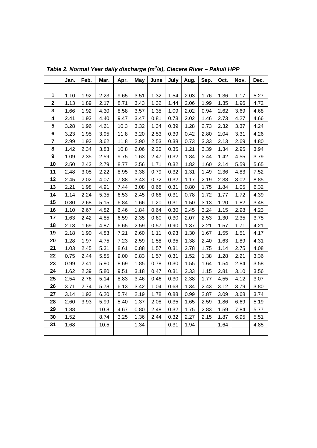|                         | Jan. | Feb. | Mar. | Apr. | May  | June | July | Aug. | Sep. | Oct. | Nov. | Dec. |
|-------------------------|------|------|------|------|------|------|------|------|------|------|------|------|
|                         |      |      |      |      |      |      |      |      |      |      |      |      |
| 1                       | 1.10 | 1.92 | 2.23 | 9.65 | 3.51 | 1.32 | 1.54 | 2.03 | 1.76 | 1.36 | 1.17 | 5.27 |
| $\mathbf 2$             | 1.13 | 1.89 | 2.17 | 8.71 | 3.43 | 1.32 | 1.44 | 2.06 | 1.99 | 1.35 | 1.96 | 4.72 |
| 3                       | 1.66 | 1.92 | 4.30 | 8.58 | 3.57 | 1.35 | 1.09 | 2.02 | 0.94 | 2.62 | 3.69 | 4.68 |
| $\overline{\mathbf{4}}$ | 2.41 | 1.93 | 4.40 | 9.47 | 3.47 | 0.81 | 0.73 | 2.02 | 1.46 | 2.73 | 4.27 | 4.66 |
| 5                       | 3.28 | 1.96 | 4.61 | 10.3 | 3.32 | 1.34 | 0.39 | 1.28 | 2.73 | 2.32 | 3.37 | 4.24 |
| 6                       | 3.23 | 1.95 | 3.95 | 11.8 | 3.20 | 2.53 | 0.39 | 0.42 | 2.80 | 2.04 | 3.31 | 4.26 |
| $\overline{\mathbf{r}}$ | 2.99 | 1.92 | 3.62 | 11.8 | 2.90 | 2.53 | 0.38 | 0.73 | 3.33 | 2.13 | 2.69 | 4.80 |
| 8                       | 1.42 | 2.34 | 3.83 | 10.8 | 2.06 | 2.20 | 0.35 | 1.21 | 3.39 | 1.34 | 2.95 | 3.94 |
| 9                       | 1.09 | 2.35 | 2.59 | 9.75 | 1.63 | 2.47 | 0.32 | 1.84 | 3.44 | 1.42 | 4.55 | 3.79 |
| 10                      | 2.50 | 2.43 | 2.79 | 8.77 | 2.56 | 1.71 | 0.32 | 1.82 | 1.60 | 2.14 | 5.59 | 5.65 |
| 11                      | 2.48 | 3.05 | 2.22 | 8.95 | 3.38 | 0.79 | 0.32 | 1.31 | 1.49 | 2.36 | 4.83 | 7.52 |
| 12                      | 2.45 | 2.02 | 4.07 | 7.88 | 3.43 | 0.72 | 0.32 | 1.17 | 2.19 | 2.38 | 3.02 | 8.85 |
| 13                      | 2.21 | 1.98 | 4.91 | 7.44 | 3.08 | 0.68 | 0.31 | 0.80 | 1.75 | 1.84 | 1.05 | 6.32 |
| 14                      | 1.14 | 2.24 | 5.35 | 6.53 | 2.45 | 0.66 | 0.31 | 0.78 | 1.72 | 1.77 | 1.72 | 4.39 |
| 15                      | 0.80 | 2.68 | 5.15 | 6.84 | 1.66 | 1.20 | 0.31 | 1.50 | 3.13 | 1.20 | 1.82 | 3.48 |
| 16                      | 1.10 | 2.67 | 4.82 | 6.46 | 1.84 | 0.64 | 0.30 | 2.45 | 3.24 | 1.15 | 2.98 | 4.23 |
| 17                      | 1.63 | 2.42 | 4.85 | 6.59 | 2.35 | 0.60 | 0.30 | 2.07 | 2.53 | 1.30 | 2.35 | 3.75 |
| 18                      | 2.13 | 1.69 | 4.87 | 6.65 | 2.59 | 0.57 | 0.90 | 1.37 | 2.21 | 1.57 | 1.71 | 4.21 |
| 19                      | 2.18 | 1.90 | 4.83 | 7.21 | 2.60 | 1.11 | 0.93 | 1.30 | 1.67 | 1.55 | 1.51 | 4.17 |
| 20                      | 1.28 | 1.97 | 4.75 | 7.23 | 2.59 | 1.58 | 0.35 | 1.38 | 2.40 | 1.63 | 1.89 | 4.31 |
| 21                      | 1.03 | 2.45 | 5.31 | 8.61 | 0.88 | 1.57 | 0.31 | 2.78 | 1.75 | 1.14 | 2.75 | 4.08 |
| 22                      | 0.75 | 2.44 | 5.85 | 9.00 | 0.83 | 1.57 | 0.31 | 1.52 | 1.38 | 1.28 | 2.21 | 3.36 |
| 23                      | 0.99 | 2.41 | 5.80 | 8.69 | 1.85 | 0.78 | 0.30 | 1.55 | 1.64 | 1.54 | 2.84 | 3.58 |
| 24                      | 1.62 | 2.39 | 5.80 | 9.51 | 3.18 | 0.47 | 0.31 | 2.33 | 1.15 | 2.81 | 3.10 | 3.56 |
| 25                      | 2.54 | 2.76 | 5.14 | 8.83 | 3.46 | 0.46 | 0.30 | 2.38 | 1.77 | 4.55 | 4.12 | 3.07 |
| 26                      | 3.71 | 2.74 | 5.78 | 6.13 | 3.42 | 1.04 | 0.63 | 1.34 | 2.43 | 3.12 | 3.79 | 3.80 |
| 27                      | 3.14 | 1.93 | 6.20 | 5.74 | 2.19 | 1.78 | 0.88 | 0.99 | 2.87 | 3.09 | 3.68 | 3.74 |
| 28                      | 2.60 | 3.93 | 5.99 | 5.40 | 1.37 | 2.08 | 0.35 | 1.65 | 2.59 | 1.86 | 6.69 | 5.19 |
| 29                      | 1.88 |      | 10.8 | 4.67 | 0.80 | 2.48 | 0.32 | 1.75 | 2.83 | 1.59 | 7.84 | 5.77 |
| 30                      | 1.52 |      | 8.74 | 3.25 | 1.36 | 2.44 | 0.32 | 2.27 | 2.15 | 1.87 | 6.95 | 5.51 |
| 31                      | 1.68 |      | 10.5 |      | 1.34 |      | 0.31 | 1.94 |      | 1.64 |      | 4.85 |
|                         |      |      |      |      |      |      |      |      |      |      |      |      |

Table 2. Normal Year daily discharge (m<sup>3</sup>/s), Ciecere River - Pakuli HPP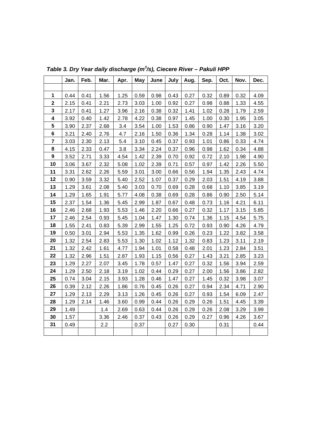|                         | Jan. | Feb. | Mar. | Apr. | May  | June | July | Aug. | Sep. | Oct. | Nov. | Dec. |
|-------------------------|------|------|------|------|------|------|------|------|------|------|------|------|
|                         |      |      |      |      |      |      |      |      |      |      |      |      |
| 1                       | 0.44 | 0.41 | 1.56 | 1.25 | 0.59 | 0.98 | 0.43 | 0.27 | 0.32 | 0.89 | 0.32 | 4.09 |
| $\mathbf 2$             | 2.15 | 0.41 | 2.21 | 2.73 | 3.03 | 1.00 | 0.92 | 0.27 | 0.98 | 0.88 | 1.33 | 4.55 |
| 3                       | 2.17 | 0.41 | 1.27 | 3.96 | 2.16 | 0.38 | 0.32 | 1.41 | 1.02 | 0.28 | 1.79 | 2.59 |
| 4                       | 3.92 | 0.40 | 1.42 | 2.78 | 4.22 | 0.38 | 0.97 | 1.45 | 1.00 | 0.30 | 1.95 | 3.05 |
| 5                       | 3.90 | 2.37 | 2.68 | 3.4  | 3.54 | 1.00 | 1.53 | 0.86 | 0.90 | 1.47 | 3.16 | 3.20 |
| 6                       | 3.21 | 2.40 | 2.76 | 4.7  | 2.16 | 1.50 | 0.36 | 1.34 | 0.28 | 1.14 | 1.38 | 3.02 |
| $\overline{\mathbf{r}}$ | 3.03 | 2.30 | 2.13 | 5.4  | 3.10 | 0.45 | 0.37 | 0.93 | 1.01 | 0.86 | 0.33 | 4.74 |
| 8                       | 4.15 | 2.33 | 0.47 | 3.8  | 3.34 | 2.24 | 0.37 | 0.96 | 0.98 | 1.62 | 0.34 | 4.88 |
| 9                       | 3.52 | 2.71 | 3.33 | 4.54 | 1.42 | 2.39 | 0.70 | 0.92 | 0.72 | 2.10 | 1.98 | 4.90 |
| 10                      | 3.06 | 3.67 | 2.32 | 5.08 | 1.02 | 2.39 | 0.71 | 0.57 | 0.97 | 1.42 | 2.26 | 5.50 |
| 11                      | 3.31 | 2.62 | 2.26 | 5.59 | 3.01 | 3.00 | 0.66 | 0.56 | 1.94 | 1.35 | 2.43 | 4.74 |
| 12                      | 0.90 | 3.59 | 3.32 | 5.40 | 2.52 | 1.07 | 0.37 | 0.29 | 2.03 | 1.51 | 4.19 | 3.88 |
| 13                      | 1.29 | 3.61 | 2.08 | 5.40 | 3.03 | 0.70 | 0.69 | 0.28 | 0.68 | 1.10 | 3.85 | 3.19 |
| 14                      | 1.29 | 1.65 | 1.91 | 5.77 | 4.08 | 0.38 | 0.69 | 0.28 | 0.86 | 0.90 | 2.50 | 5.14 |
| 15                      | 2.37 | 1.54 | 1.36 | 5.45 | 2.99 | 1.87 | 0.67 | 0.48 | 0.73 | 1.16 | 4.21 | 6.11 |
| 16                      | 2.46 | 2.68 | 1.93 | 5.53 | 1.46 | 2.20 | 0.66 | 0.27 | 0.32 | 1.17 | 3.15 | 5.85 |
| 17                      | 2.46 | 2.54 | 0.93 | 5.45 | 1.04 | 1.47 | 1.30 | 0.74 | 1.36 | 1.15 | 4.54 | 5.75 |
| 18                      | 1.55 | 2.41 | 0.83 | 5.39 | 2.99 | 1.55 | 1.25 | 0.72 | 0.93 | 0.90 | 4.26 | 4.79 |
| 19                      | 0.50 | 3.01 | 2.94 | 5.53 | 1.35 | 1.62 | 0.99 | 0.26 | 0.23 | 1.22 | 3.82 | 3.58 |
| 20                      | 1.32 | 2.54 | 2.83 | 5.53 | 1.30 | 1.02 | 1.12 | 1.32 | 0.83 | 1.23 | 3.11 | 2.19 |
| 21                      | 1.32 | 2.42 | 1.61 | 4.77 | 1.94 | 1.01 | 0.58 | 0.48 | 2.01 | 1.23 | 2.84 | 3.51 |
| 22                      | 1.32 | 2.96 | 1.51 | 2.87 | 1.93 | 1.15 | 0.56 | 0.27 | 1.43 | 3.21 | 2.85 | 3.23 |
| 23                      | 1.29 | 2.27 | 2.07 | 3.45 | 1.78 | 0.57 | 1.47 | 0.27 | 0.32 | 1.56 | 3.94 | 2.59 |
| 24                      | 1.29 | 2.50 | 2.18 | 3.19 | 1.02 | 0.44 | 0.29 | 0.27 | 2.00 | 1.56 | 3.86 | 2.82 |
| 25                      | 0.74 | 3.04 | 2.15 | 3.93 | 1.28 | 0.46 | 1.47 | 0.27 | 1.45 | 0.32 | 3.98 | 3.07 |
| 26                      | 0.39 | 2.12 | 2.26 | 1.86 | 0.76 | 0.45 | 0.26 | 0.27 | 0.94 | 2.34 | 4.71 | 2.90 |
| 27                      | 1.29 | 2.13 | 2.29 | 3.13 | 1.26 | 0.45 | 0.26 | 0.27 | 0.93 | 1.54 | 6.09 | 2.47 |
| 28                      | 1.29 | 2.14 | 1.46 | 3.60 | 0.99 | 0.44 | 0.26 | 0.29 | 0.26 | 1.51 | 4.45 | 3.39 |
| 29                      | 1.49 |      | 1.4  | 2.69 | 0.63 | 0.44 | 0.26 | 0.29 | 0.26 | 2.08 | 3.29 | 3.99 |
| 30                      | 1.57 |      | 3.36 | 2.46 | 0.37 | 0.43 | 0.26 | 0.29 | 0.27 | 0.96 | 4.26 | 3.67 |
| 31                      | 0.49 |      | 2.2  |      | 0.37 |      | 0.27 | 0.30 |      | 0.31 |      | 0.44 |
|                         |      |      |      |      |      |      |      |      |      |      |      |      |

Table 3. Dry Year daily discharge (m<sup>3</sup>/s), Ciecere River - Pakuli HPP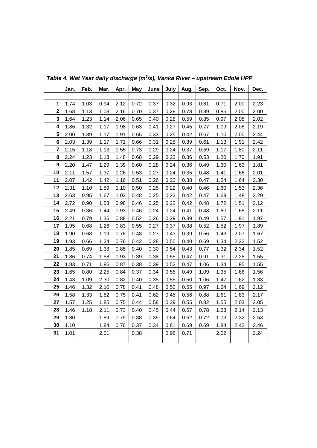|                         | Jan. | Feb. | Mar. | Apr. | <b>May</b> | June | July | Aug. | Sep. | Oct. | Nov. | Dec. |
|-------------------------|------|------|------|------|------------|------|------|------|------|------|------|------|
|                         |      |      |      |      |            |      |      |      |      |      |      |      |
| 1                       | 1.74 | 1.03 | 0.94 | 2.12 | 0.72       | 0.37 | 0.32 | 0.93 | 0.81 | 0.71 | 2.00 | 2.23 |
| $\mathbf 2$             | 1.68 | 1.13 | 1.03 | 2.16 | 0.70       | 0.37 | 0.29 | 0.78 | 0.89 | 0.85 | 2.00 | 2.00 |
| 3                       | 1.64 | 1.23 | 1.14 | 2.06 | 0.65       | 0.40 | 0.28 | 0.59 | 0.85 | 0.97 | 2.08 | 2.02 |
| 4                       | 1.86 | 1.32 | 1.17 | 1.98 | 0.63       | 0.41 | 0.27 | 0.45 | 0.77 | 1.09 | 2.08 | 2.19 |
| 5                       | 2.00 | 1.39 | 1.17 | 1.91 | 0.65       | 0.33 | 0.25 | 0.42 | 0.67 | 1.10 | 2.00 | 2.44 |
| 6                       | 2.03 | 1.39 | 1.17 | 1.71 | 0.66       | 0.31 | 0.25 | 0.39 | 0.61 | 1.13 | 1.91 | 2.42 |
| $\overline{\mathbf{r}}$ | 2.15 | 1.18 | 1.13 | 1.55 | 0.73       | 0.29 | 0.24 | 0.37 | 0.59 | 1.17 | 1.80 | 2.11 |
| 8                       | 2.24 | 1.23 | 1.13 | 1.48 | 0.68       | 0.29 | 0.23 | 0.36 | 0.53 | 1.20 | 1.70 | 1.91 |
| $\boldsymbol{9}$        | 2.20 | 1.47 | 1.29 | 1.39 | 0.60       | 0.28 | 0.24 | 0.36 | 0.49 | 1.30 | 1.63 | 1.81 |
| 10                      | 2.11 | 1.57 | 1.37 | 1.26 | 0.53       | 0.27 | 0.24 | 0.35 | 0.48 | 1.41 | 1.66 | 2.01 |
| 11                      | 2.07 | 1.42 | 1.42 | 1.16 | 0.51       | 0.26 | 0.23 | 0.38 | 0.47 | 1.54 | 1.64 | 2.30 |
| 12                      | 2.31 | 1.10 | 1.59 | 1.10 | 0.50       | 0.25 | 0.22 | 0.40 | 0.46 | 1.60 | 1.53 | 2.36 |
| 13                      | 2.63 | 0.95 | 1.67 | 1.03 | 0.48       | 0.25 | 0.22 | 0.42 | 0.47 | 1.69 | 1.48 | 2.20 |
| 14                      | 2.72 | 0.90 | 1.53 | 0.98 | 0.46       | 0.25 | 0.22 | 0.42 | 0.48 | 1.72 | 1.51 | 2.12 |
| 15                      | 2.49 | 0.86 | 1.44 | 0.93 | 0.46       | 0.24 | 0.24 | 0.41 | 0.48 | 1.60 | 1.68 | 2.11 |
| 16                      | 2.21 | 0.79 | 1.36 | 0.88 | 0.52       | 0.26 | 0.29 | 0.39 | 0.49 | 1.57 | 1.91 | 1.97 |
| 17                      | 1.95 | 0.68 | 1.26 | 0.83 | 0.55       | 0.27 | 0.37 | 0.38 | 0.52 | 1.52 | 1.97 | 1.89 |
| 18                      | 1.90 | 0.68 | 1.19 | 0.78 | 0.48       | 0.27 | 0.43 | 0.39 | 0.56 | 1.43 | 2.07 | 1.67 |
| 19                      | 1.93 | 0.66 | 1.24 | 0.76 | 0.42       | 0.28 | 0.50 | 0.40 | 0.69 | 1.34 | 2.22 | 1.52 |
| 20                      | 1.85 | 0.69 | 1.33 | 0.85 | 0.40       | 0.30 | 0.54 | 0.43 | 0.77 | 1.32 | 2.34 | 1.52 |
| 21                      | 1.86 | 0.74 | 1.58 | 0.93 | 0.39       | 0.38 | 0.55 | 0.47 | 0.91 | 1.31 | 2.28 | 1.55 |
| 22                      | 1.83 | 0.71 | 1.86 | 0.87 | 0.38       | 0.39 | 0.52 | 0.47 | 1.06 | 1.34 | 1.95 | 1.55 |
| 23                      | 1.65 | 0.80 | 2.25 | 0.84 | 0.37       | 0.34 | 0.55 | 0.49 | 1.09 | 1.35 | 1.66 | 1.56 |
| 24                      | 1.43 | 1.09 | 2.30 | 0.82 | 0.40       | 0.35 | 0.55 | 0.50 | 1.06 | 1.47 | 1.62 | 1.83 |
| 25                      | 1.46 | 1.32 | 2.10 | 0.78 | 0.41       | 0.48 | 0.52 | 0.55 | 0.97 | 1.64 | 1.69 | 2.12 |
| 26                      | 1.58 | 1.33 | 1.82 | 0.75 | 0.41       | 0.62 | 0.45 | 0.56 | 0.88 | 1.61 | 1.83 | 2.17 |
| 27                      | 1.57 | 1.25 | 1.85 | 0.75 | 0.44       | 0.58 | 0.39 | 0.55 | 0.82 | 1.55 | 2.03 | 2.05 |
| 28                      | 1.46 | 1.18 | 2.11 | 0.73 | 0.40       | 0.45 | 0.44 | 0.57 | 0.78 | 1.63 | 2.14 | 2.13 |
| 29                      | 1.30 |      | 1.89 | 0.75 | 0.38       | 0.39 | 0.64 | 0.62 | 0.72 | 1.73 | 2.32 | 2.53 |
| 30                      | 1.10 |      | 1.84 | 0.76 | 0.37       | 0.34 | 0.81 | 0.69 | 0.69 | 1.84 | 2.42 | 2.46 |
| 31                      | 1.01 |      | 2.01 |      | 0.38       |      | 0.98 | 0.71 |      | 2.02 |      | 2.24 |
|                         |      |      |      |      |            |      |      |      |      |      |      |      |

Table 4. Wet Year daily discharge (m<sup>3</sup>/s), Vanka River - upstream Edole HPP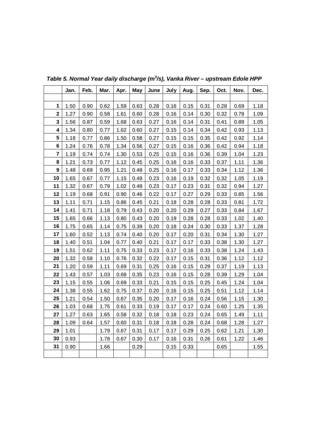|                         | Jan. | Feb. | Mar. | Apr. | May  | June | July | Aug. | Sep. | Oct. | Nov. | Dec. |
|-------------------------|------|------|------|------|------|------|------|------|------|------|------|------|
|                         |      |      |      |      |      |      |      |      |      |      |      |      |
| 1                       | 1.50 | 0.90 | 0.62 | 1.59 | 0.63 | 0.28 | 0.16 | 0.15 | 0.31 | 0.28 | 0.69 | 1.18 |
| $\overline{\mathbf{2}}$ | 1.27 | 0.90 | 0.58 | 1.61 | 0.60 | 0.28 | 0.16 | 0.14 | 0.30 | 0.32 | 0.78 | 1.09 |
| 3                       | 1.56 | 0.87 | 0.59 | 1.68 | 0.63 | 0.27 | 0.16 | 0.14 | 0.31 | 0.41 | 0.89 | 1.05 |
| 4                       | 1.34 | 0.80 | 0.77 | 1.62 | 0.60 | 0.27 | 0.15 | 0.14 | 0.34 | 0.42 | 0.93 | 1.13 |
| 5                       | 1.18 | 0.77 | 0.86 | 1.50 | 0.58 | 0.27 | 0.15 | 0.15 | 0.35 | 0.42 | 0.92 | 1.14 |
| 6                       | 1.24 | 0.76 | 0.78 | 1.34 | 0.56 | 0.27 | 0.15 | 0.16 | 0.36 | 0.42 | 0.94 | 1.18 |
| $\overline{7}$          | 1.19 | 0.74 | 0.74 | 1.30 | 0.53 | 0.25 | 0.15 | 0.16 | 0.36 | 0.39 | 1.04 | 1.23 |
| 8                       | 1.21 | 0.73 | 0.77 | 1.12 | 0.45 | 0.25 | 0.16 | 0.16 | 0.33 | 0.37 | 1.11 | 1.36 |
| $\mathbf{9}$            | 1.48 | 0.69 | 0.95 | 1.21 | 0.48 | 0.25 | 0.16 | 0.17 | 0.33 | 0.34 | 1.12 | 1.36 |
| 10                      | 1.65 | 0.67 | 0.77 | 1.15 | 0.49 | 0.23 | 0.16 | 0.19 | 0.32 | 0.32 | 1.05 | 1.19 |
| 11                      | 1.32 | 0.67 | 0.79 | 1.02 | 0.48 | 0.23 | 0.17 | 0.23 | 0.31 | 0.32 | 0.94 | 1.27 |
| 12                      | 1.19 | 0.68 | 0.91 | 0.90 | 0.46 | 0.22 | 0.17 | 0.27 | 0.29 | 0.33 | 0.85 | 1.56 |
| 13                      | 1.11 | 0.71 | 1.15 | 0.86 | 0.45 | 0.21 | 0.18 | 0.28 | 0.28 | 0.33 | 0.81 | 1.72 |
| 14                      | 1.41 | 0.71 | 1.18 | 0.79 | 0.43 | 0.20 | 0.20 | 0.29 | 0.27 | 0.33 | 0.84 | 1.67 |
| 15                      | 1.65 | 0.66 | 1.13 | 0.80 | 0.43 | 0.20 | 0.19 | 0.28 | 0.28 | 0.33 | 1.02 | 1.40 |
| 16                      | 1.75 | 0.65 | 1.14 | 0.75 | 0.39 | 0.20 | 0.18 | 0.24 | 0.30 | 0.33 | 1.37 | 1.28 |
| 17                      | 1.60 | 0.52 | 1.13 | 0.74 | 0.40 | 0.20 | 0.17 | 0.20 | 0.31 | 0.34 | 1.30 | 1.27 |
| 18                      | 1.40 | 0.51 | 1.04 | 0.77 | 0.40 | 0.21 | 0.17 | 0.17 | 0.33 | 0.38 | 1.30 | 1.27 |
| 19                      | 1.51 | 0.62 | 1.11 | 0.75 | 0.33 | 0.23 | 0.17 | 0.16 | 0.33 | 0.38 | 1.24 | 1.43 |
| 20                      | 1.32 | 0.58 | 1.10 | 0.76 | 0.32 | 0.22 | 0.17 | 0.15 | 0.31 | 0.36 | 1.12 | 1.12 |
| 21                      | 1.20 | 0.59 | 1.11 | 0.69 | 0.31 | 0.25 | 0.16 | 0.15 | 0.29 | 0.37 | 1.19 | 1.13 |
| 22                      | 1.43 | 0.57 | 1.03 | 0.68 | 0.35 | 0.23 | 0.16 | 0.15 | 0.28 | 0.39 | 1.29 | 1.04 |
| 23                      | 1.15 | 0.55 | 1.06 | 0.69 | 0.33 | 0.21 | 0.15 | 0.15 | 0.25 | 0.45 | 1.24 | 1.04 |
| 24                      | 1.38 | 0.55 | 1.62 | 0.75 | 0.37 | 0.20 | 0.16 | 0.15 | 0.25 | 0.51 | 1.12 | 1.14 |
| 25                      | 1.21 | 0.54 | 1.50 | 0.67 | 0.35 | 0.20 | 0.17 | 0.16 | 0.24 | 0.56 | 1.15 | 1.30 |
| 26                      | 1.03 | 0.68 | 1.75 | 0.61 | 0.33 | 0.19 | 0.17 | 0.17 | 0.24 | 0.60 | 1.25 | 1.35 |
| 27                      | 1.27 | 0.63 | 1.65 | 0.58 | 0.32 | 0.18 | 0.18 | 0.23 | 0.24 | 0.65 | 1.49 | 1.11 |
| 28                      | 1.09 | 0.64 | 1.57 | 0.60 | 0.31 | 0.18 | 0.18 | 0.28 | 0.24 | 0.68 | 1.28 | 1.27 |
| 29                      | 1.01 |      | 1.79 | 0.67 | 0.31 | 0.17 | 0.17 | 0.29 | 0.25 | 0.62 | 1.21 | 1.30 |
| 30                      | 0.93 |      | 1.78 | 0.67 | 0.30 | 0.17 | 0.16 | 0.31 | 0.26 | 0.61 | 1.22 | 1.46 |
| 31                      | 0.90 |      | 1.66 |      | 0.29 |      | 0.15 | 0.33 |      | 0.65 |      | 1.55 |
|                         |      |      |      |      |      |      |      |      |      |      |      |      |

Table 5. Normal Year daily discharge (m<sup>3</sup>/s), Vanka River – upstream Edole HPP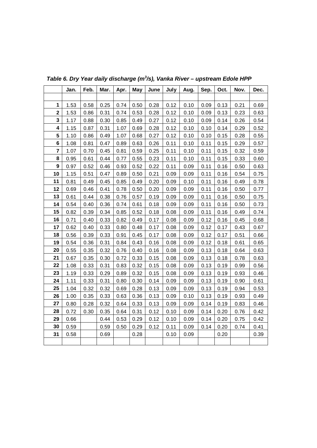|                         | Jan. | Feb. | Mar. | Apr. | May  | June | July | Aug. | Sep. | Oct. | Nov. | Dec. |
|-------------------------|------|------|------|------|------|------|------|------|------|------|------|------|
|                         |      |      |      |      |      |      |      |      |      |      |      |      |
| 1                       | 1.53 | 0.58 | 0.25 | 0.74 | 0.50 | 0.28 | 0.12 | 0.10 | 0.09 | 0.13 | 0.21 | 0.69 |
| $\mathbf{2}$            | 1.53 | 0.86 | 0.31 | 0.74 | 0.53 | 0.28 | 0.12 | 0.10 | 0.09 | 0.13 | 0.23 | 0.63 |
| 3                       | 1.17 | 0.88 | 0.30 | 0.85 | 0.49 | 0.27 | 0.12 | 0.10 | 0.09 | 0.14 | 0.26 | 0.54 |
| $\overline{\mathbf{4}}$ | 1.15 | 0.87 | 0.31 | 1.07 | 0.69 | 0.28 | 0.12 | 0.10 | 0.10 | 0.14 | 0.29 | 0.52 |
| 5                       | 1.10 | 0.86 | 0.49 | 1.07 | 0.68 | 0.27 | 0.12 | 0.10 | 0.10 | 0.15 | 0.28 | 0.55 |
| 6                       | 1.08 | 0.81 | 0.47 | 0.89 | 0.63 | 0.26 | 0.11 | 0.10 | 0.11 | 0.15 | 0.29 | 0.57 |
| $\overline{\mathbf{r}}$ | 1.07 | 0.70 | 0.45 | 0.81 | 0.59 | 0.25 | 0.11 | 0.10 | 0.11 | 0.15 | 0.32 | 0.59 |
| 8                       | 0.95 | 0.61 | 0.44 | 0.77 | 0.55 | 0.23 | 0.11 | 0.10 | 0.11 | 0.15 | 0.33 | 0.60 |
| $\mathbf{9}$            | 0.97 | 0.52 | 0.46 | 0.93 | 0.52 | 0.22 | 0.11 | 0.09 | 0.11 | 0.16 | 0.50 | 0.63 |
| 10                      | 1.15 | 0.51 | 0.47 | 0.89 | 0.50 | 0.21 | 0.09 | 0.09 | 0.11 | 0.16 | 0.54 | 0.75 |
| 11                      | 0.81 | 0.49 | 0.45 | 0.85 | 0.49 | 0.20 | 0.09 | 0.10 | 0.11 | 0.16 | 0.49 | 0.78 |
| 12                      | 0.69 | 0.46 | 0.41 | 0.78 | 0.50 | 0.20 | 0.09 | 0.09 | 0.11 | 0.16 | 0.50 | 0.77 |
| 13                      | 0.61 | 0.44 | 0.38 | 0.76 | 0.57 | 0.19 | 0.09 | 0.09 | 0.11 | 0.16 | 0.50 | 0.75 |
| 14                      | 0.54 | 0.40 | 0.36 | 0.74 | 0.61 | 0.18 | 0.09 | 0.09 | 0.11 | 0.16 | 0.50 | 0.73 |
| 15                      | 0.82 | 0.39 | 0.34 | 0.85 | 0.52 | 0.18 | 0.08 | 0.09 | 0.11 | 0.16 | 0.49 | 0.74 |
| 16                      | 0.71 | 0.40 | 0.33 | 0.82 | 0.49 | 0.17 | 0.08 | 0.09 | 0.12 | 0.16 | 0.45 | 0.68 |
| 17                      | 0.62 | 0.40 | 0.33 | 0.80 | 0.48 | 0.17 | 0.08 | 0.09 | 0.12 | 0.17 | 0.43 | 0.67 |
| 18                      | 0.56 | 0.39 | 0.33 | 0.91 | 0.45 | 0.17 | 0.08 | 0.09 | 0.12 | 0.17 | 0.51 | 0.66 |
| 19                      | 0.54 | 0.36 | 0.31 | 0.84 | 0.43 | 0.16 | 0.08 | 0.09 | 0.12 | 0.18 | 0.61 | 0.65 |
| 20                      | 0.55 | 0.35 | 0.32 | 0.76 | 0.40 | 0.16 | 0.08 | 0.09 | 0.13 | 0.18 | 0.64 | 0.63 |
| 21                      | 0.67 | 0.35 | 0.30 | 0.72 | 0.33 | 0.15 | 0.08 | 0.09 | 0.13 | 0.18 | 0.78 | 0.63 |
| 22                      | 1.08 | 0.33 | 0.31 | 0.83 | 0.32 | 0.15 | 0.08 | 0.09 | 0.13 | 0.19 | 0.99 | 0.56 |
| 23                      | 1.19 | 0.33 | 0.29 | 0.89 | 0.32 | 0.15 | 0.08 | 0.09 | 0.13 | 0.19 | 0.93 | 0.46 |
| 24                      | 1.11 | 0.33 | 0.31 | 0.80 | 0.30 | 0.14 | 0.09 | 0.09 | 0.13 | 0.19 | 0.90 | 0.61 |
| 25                      | 1.04 | 0.32 | 0.32 | 0.69 | 0.28 | 0.13 | 0.09 | 0.09 | 0.13 | 0.19 | 0.94 | 0.53 |
| 26                      | 1.00 | 0.35 | 0.33 | 0.63 | 0.36 | 0.13 | 0.09 | 0.10 | 0.13 | 0.19 | 0.93 | 0.49 |
| 27                      | 0.80 | 0.28 | 0.32 | 0.64 | 0.33 | 0.13 | 0.09 | 0.09 | 0.14 | 0.19 | 0.83 | 0.46 |
| 28                      | 0.72 | 0.30 | 0.35 | 0.64 | 0.31 | 0.12 | 0.10 | 0.09 | 0.14 | 0.20 | 0.76 | 0.42 |
| 29                      | 0.66 |      | 0.44 | 0.53 | 0.29 | 0.12 | 0.10 | 0.09 | 0.14 | 0.20 | 0.75 | 0.42 |
| 30                      | 0.59 |      | 0.59 | 0.50 | 0.29 | 0.12 | 0.11 | 0.09 | 0.14 | 0.20 | 0.74 | 0.41 |
| 31                      | 0.58 |      | 0.69 |      | 0.28 |      | 0.10 | 0.09 |      | 0.20 |      | 0.39 |
|                         |      |      |      |      |      |      |      |      |      |      |      |      |

Table 6. Dry Year daily discharge (m<sup>3</sup>/s), Vanka River – upstream Edole HPP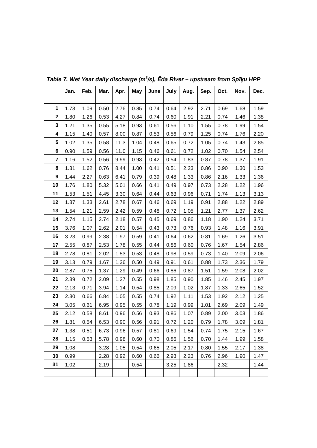|              | Jan. | Feb. | Mar. | Apr. | May  | June | July | Aug. | Sep. | Oct. | Nov. | Dec. |
|--------------|------|------|------|------|------|------|------|------|------|------|------|------|
|              |      |      |      |      |      |      |      |      |      |      |      |      |
| 1            | 1.73 | 1.09 | 0.50 | 2.76 | 0.85 | 0.74 | 0.64 | 2.92 | 2.71 | 0.69 | 1.68 | 1.59 |
| $\mathbf{2}$ | 1.80 | 1.26 | 0.53 | 4.27 | 0.84 | 0.74 | 0.60 | 1.91 | 2.21 | 0.74 | 1.46 | 1.38 |
| 3            | 1.21 | 1.35 | 0.55 | 5.18 | 0.93 | 0.61 | 0.56 | 1.10 | 1.55 | 0.78 | 1.99 | 1.54 |
| 4            | 1.15 | 1.40 | 0.57 | 8.00 | 0.87 | 0.53 | 0.56 | 0.79 | 1.25 | 0.74 | 1.76 | 2.20 |
| 5            | 1.02 | 1.35 | 0.58 | 11.3 | 1.04 | 0.48 | 0.65 | 0.72 | 1.05 | 0.74 | 1.43 | 2.85 |
| 6            | 0.90 | 1.59 | 0.56 | 11.0 | 1.15 | 0.46 | 0.61 | 0.72 | 1.02 | 0.70 | 1.54 | 2.54 |
| 7            | 1.16 | 1.52 | 0.56 | 9.99 | 0.93 | 0.42 | 0.54 | 1.83 | 0.87 | 0.78 | 1.37 | 1.91 |
| 8            | 1.31 | 1.62 | 0.76 | 8.44 | 1.00 | 0.41 | 0.51 | 2.23 | 0.86 | 0.90 | 1.30 | 1.53 |
| 9            | 1.44 | 2.27 | 0.63 | 6.41 | 0.79 | 0.39 | 0.48 | 1.33 | 0.86 | 2.16 | 1.33 | 1.36 |
| 10           | 1.76 | 1.80 | 5.32 | 5.01 | 0.66 | 0.41 | 0.49 | 0.97 | 0.73 | 2.28 | 1.22 | 1.96 |
| 11           | 1.53 | 1.51 | 4.45 | 3.30 | 0.64 | 0.44 | 0.63 | 0.96 | 0.71 | 1.74 | 1.13 | 3.13 |
| 12           | 1.37 | 1.33 | 2.61 | 2.78 | 0.67 | 0.46 | 0.69 | 1.19 | 0.91 | 2.88 | 1.22 | 2.89 |
| 13           | 1.54 | 1.21 | 2.59 | 2.42 | 0.59 | 0.48 | 0.72 | 1.05 | 1.21 | 2.77 | 1.37 | 2.62 |
| 14           | 2.74 | 1.15 | 2.74 | 2.18 | 0.57 | 0.45 | 0.69 | 0.86 | 1.18 | 1.90 | 1.24 | 3.71 |
| 15           | 3.76 | 1.07 | 2.62 | 2.01 | 0.54 | 0.43 | 0.73 | 0.76 | 0.93 | 1.48 | 1.16 | 3.91 |
| 16           | 3.23 | 0.99 | 2.38 | 1.97 | 0.59 | 0.41 | 0.64 | 0.62 | 0.81 | 1.69 | 1.26 | 3.51 |
| 17           | 2.55 | 0.87 | 2.53 | 1.78 | 0.55 | 0.44 | 0.86 | 0.60 | 0.76 | 1.67 | 1.54 | 2.86 |
| 18           | 2.78 | 0.81 | 2.02 | 1.53 | 0.53 | 0.48 | 0.98 | 0.59 | 0.73 | 1.40 | 2.09 | 2.06 |
| 19           | 3.13 | 0.79 | 1.67 | 1.36 | 0.50 | 0.49 | 0.91 | 0.61 | 0.88 | 1.73 | 2.36 | 1.79 |
| 20           | 2.87 | 0.75 | 1.37 | 1.29 | 0.49 | 0.66 | 0.86 | 0.87 | 1.51 | 1.59 | 2.08 | 2.02 |
| 21           | 2.39 | 0.72 | 2.09 | 1.27 | 0.55 | 0.98 | 1.85 | 0.90 | 1.85 | 1.46 | 2.45 | 1.97 |
| 22           | 2.13 | 0.71 | 3.94 | 1.14 | 0.54 | 0.85 | 2.09 | 1.02 | 1.87 | 1.33 | 2.65 | 1.52 |
| 23           | 2.30 | 0.66 | 6.84 | 1.05 | 0.55 | 0.74 | 1.92 | 1.11 | 1.53 | 1.92 | 2.12 | 1.25 |
| 24           | 3.05 | 0.61 | 6.95 | 0.95 | 0.55 | 0.78 | 1.19 | 0.99 | 1.01 | 2.69 | 2.09 | 1.49 |
| 25           | 2.12 | 0.58 | 8.61 | 0.96 | 0.56 | 0.93 | 0.86 | 1.07 | 0.89 | 2.00 | 3.03 | 1.86 |
| 26           | 1.81 | 0.54 | 6.53 | 0.90 | 0.56 | 0.91 | 0.72 | 1.20 | 0.79 | 1.78 | 3.09 | 1.81 |
| 27           | 1.38 | 0.51 | 6.73 | 0.96 | 0.57 | 0.81 | 0.69 | 1.54 | 0.74 | 1.75 | 2.15 | 1.67 |
| 28           | 1.15 | 0.53 | 5.78 | 0.98 | 0.60 | 0.70 | 0.86 | 1.56 | 0.70 | 1.44 | 1.99 | 1.58 |
| 29           | 1.08 |      | 3.28 | 1.05 | 0.54 | 0.65 | 2.05 | 2.17 | 0.80 | 1.55 | 2.17 | 1.38 |
| 30           | 0.99 |      | 2.28 | 0.92 | 0.60 | 0.66 | 2.93 | 2.23 | 0.76 | 2.96 | 1.90 | 1.47 |
| 31           | 1.02 |      | 2.19 |      | 0.54 |      | 3.25 | 1.86 |      | 2.32 |      | 1.44 |
|              |      |      |      |      |      |      |      |      |      |      |      |      |

Table 7. Wet Year daily discharge (m<sup>3</sup>/s), Ēda River – upstream from Spīķu HPP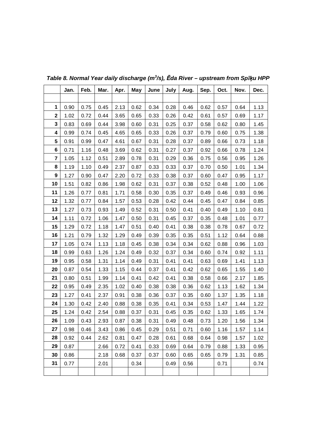|                  | Jan. | Feb. | Mar. | Apr. | May  | June | July | Aug. | Sep. | Oct. | Nov. | Dec. |
|------------------|------|------|------|------|------|------|------|------|------|------|------|------|
|                  |      |      |      |      |      |      |      |      |      |      |      |      |
| 1                | 0.90 | 0.75 | 0.45 | 2.13 | 0.62 | 0.34 | 0.28 | 0.46 | 0.62 | 0.57 | 0.64 | 1.13 |
| $\mathbf{2}$     | 1.02 | 0.72 | 0.44 | 3.65 | 0.65 | 0.33 | 0.26 | 0.42 | 0.61 | 0.57 | 0.69 | 1.17 |
| $\mathbf{3}$     | 0.83 | 0.69 | 0.44 | 3.98 | 0.60 | 0.31 | 0.25 | 0.37 | 0.58 | 0.62 | 0.80 | 1.45 |
| 4                | 0.99 | 0.74 | 0.45 | 4.65 | 0.65 | 0.33 | 0.26 | 0.37 | 0.79 | 0.60 | 0.75 | 1.38 |
| 5                | 0.91 | 0.99 | 0.47 | 4.61 | 0.67 | 0.31 | 0.28 | 0.37 | 0.89 | 0.66 | 0.73 | 1.18 |
| 6                | 0.71 | 1.16 | 0.48 | 3.69 | 0.62 | 0.31 | 0.27 | 0.37 | 0.92 | 0.66 | 0.78 | 1.24 |
| 7                | 1.05 | 1.12 | 0.51 | 2.89 | 0.78 | 0.31 | 0.29 | 0.36 | 0.75 | 0.56 | 0.95 | 1.26 |
| 8                | 1.19 | 1.10 | 0.49 | 2.37 | 0.87 | 0.33 | 0.33 | 0.37 | 0.70 | 0.50 | 1.01 | 1.34 |
| $\boldsymbol{9}$ | 1.27 | 0.90 | 0.47 | 2.20 | 0.72 | 0.33 | 0.38 | 0.37 | 0.60 | 0.47 | 0.95 | 1.17 |
| 10               | 1.51 | 0.82 | 0.86 | 1.98 | 0.62 | 0.31 | 0.37 | 0.38 | 0.52 | 0.48 | 1.00 | 1.06 |
| 11               | 1.26 | 0.77 | 0.81 | 1.71 | 0.58 | 0.30 | 0.35 | 0.37 | 0.49 | 0.46 | 0.93 | 0.96 |
| 12               | 1.32 | 0.77 | 0.84 | 1.57 | 0.53 | 0.28 | 0.42 | 0.44 | 0.45 | 0.47 | 0.84 | 0.85 |
| 13               | 1.27 | 0.73 | 0.93 | 1.49 | 0.52 | 0.31 | 0.50 | 0.41 | 0.40 | 0.49 | 1.10 | 0.81 |
| 14               | 1.11 | 0.72 | 1.06 | 1.47 | 0.50 | 0.31 | 0.45 | 0.37 | 0.35 | 0.48 | 1.01 | 0.77 |
| 15               | 1.29 | 0.72 | 1.18 | 1.47 | 0.51 | 0.40 | 0.41 | 0.38 | 0.38 | 0.78 | 0.67 | 0.72 |
| 16               | 1.21 | 0.79 | 1.32 | 1.29 | 0.49 | 0.39 | 0.35 | 0.35 | 0.51 | 1.12 | 0.64 | 0.88 |
| 17               | 1.05 | 0.74 | 1.13 | 1.18 | 0.45 | 0.38 | 0.34 | 0.34 | 0.62 | 0.88 | 0.96 | 1.03 |
| 18               | 0.99 | 0.63 | 1.26 | 1.24 | 0.49 | 0.32 | 0.37 | 0.34 | 0.60 | 0.74 | 0.92 | 1.11 |
| 19               | 0.95 | 0.58 | 1.31 | 1.14 | 0.49 | 0.31 | 0.41 | 0.41 | 0.63 | 0.69 | 1.41 | 1.13 |
| 20               | 0.87 | 0.54 | 1.33 | 1.15 | 0.44 | 0.37 | 0.41 | 0.42 | 0.62 | 0.65 | 1.55 | 1.40 |
| 21               | 0.80 | 0.51 | 1.99 | 1.14 | 0.41 | 0.42 | 0.41 | 0.38 | 0.58 | 0.66 | 2.17 | 1.85 |
| 22               | 0.95 | 0.49 | 2.35 | 1.02 | 0.40 | 0.38 | 0.38 | 0.36 | 0.62 | 1.13 | 1.62 | 1.34 |
| 23               | 1.27 | 0.41 | 2.37 | 0.91 | 0.38 | 0.36 | 0.37 | 0.35 | 0.60 | 1.37 | 1.35 | 1.18 |
| 24               | 1.30 | 0.42 | 2.40 | 0.88 | 0.38 | 0.35 | 0.41 | 0.34 | 0.53 | 1.47 | 1.44 | 1.22 |
| 25               | 1.24 | 0.42 | 2.54 | 0.88 | 0.37 | 0.31 | 0.45 | 0.35 | 0.62 | 1.33 | 1.65 | 1.74 |
| 26               | 1.09 | 0.43 | 2.93 | 0.87 | 0.38 | 0.31 | 0.49 | 0.48 | 0.73 | 1.20 | 1.56 | 1.34 |
| 27               | 0.98 | 0.46 | 3.43 | 0.86 | 0.45 | 0.29 | 0.51 | 0.71 | 0.60 | 1.16 | 1.57 | 1.14 |
| 28               | 0.92 | 0.44 | 2.62 | 0.81 | 0.47 | 0.28 | 0.61 | 0.68 | 0.64 | 0.98 | 1.57 | 1.02 |
| 29               | 0.87 |      | 2.66 | 0.72 | 0.41 | 0.33 | 0.69 | 0.64 | 0.79 | 0.88 | 1.33 | 0.95 |
| 30               | 0.86 |      | 2.18 | 0.68 | 0.37 | 0.37 | 0.60 | 0.65 | 0.65 | 0.79 | 1.31 | 0.85 |
| 31               | 0.77 |      | 2.01 |      | 0.34 |      | 0.49 | 0.56 |      | 0.71 |      | 0.74 |
|                  |      |      |      |      |      |      |      |      |      |      |      |      |

Table 8. Normal Year daily discharge (m<sup>3</sup>/s), Ēda River – upstream from Spīķu HPP